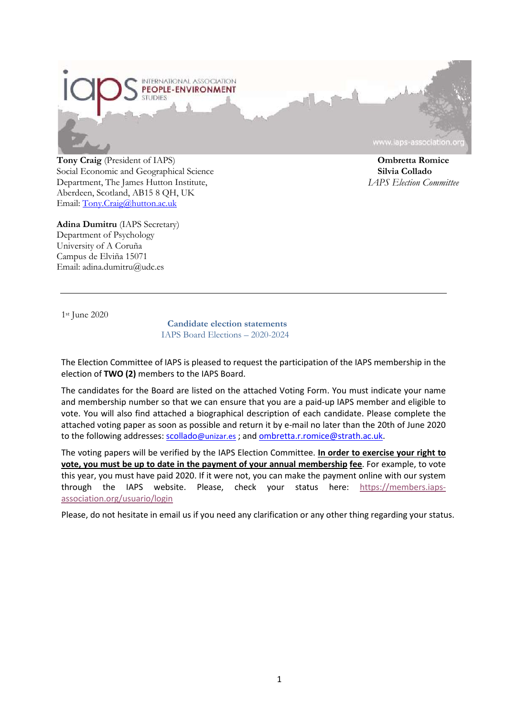

**Tony Craig** (President of IAPS) Social Economic and Geographical Science Department, The James Hutton Institute, Aberdeen, Scotland, AB15 8 QH, UK Email: [Tony.Craig@hutton.ac.uk](mailto:Tony.Craig@hutton.ac.uk)

**Adina Dumitru** (IAPS Secretary) Department of Psychology University of A Coruña Campus de Elviña 15071 Email: adina.dumitru@udc.es

**Ombretta Romice**

**Silvia Collado** *IAPS Election Committee*

1st June 2020

**Candidate election statements** IAPS Board Elections – 2020-2024

The Election Committee of IAPS is pleased to request the participation of the IAPS membership in the election of **TWO (2)** members to the IAPS Board.

The candidates for the Board are listed on the attached Voting Form. You must indicate your name and membership number so that we can ensure that you are a paid-up IAPS member and eligible to vote. You will also find attached a biographical description of each candidate. Please complete the attached voting paper as soon as possible and return it by e-mail no later than the 20th of June 2020 to the following addresses: [scollado@unizar.es](mailto:scollado@unizar.es) ; and [ombretta.r.romice@strath.ac.uk.](mailto:ombretta.r.romice@strath.ac.uk)

The voting papers will be verified by the IAPS Election Committee. **In order to exercise your right to vote, you must be up to date in the payment of your annual membership fee**. For example, to vote this year, you must have paid 2020. If it were not, you can make the payment online with our system through the IAPS website. Please, check your status here: [https://members.iaps](https://members.iaps-association.org/usuario/login)[association.org/usuario/login](https://members.iaps-association.org/usuario/login)

Please, do not hesitate in email us if you need any clarification or any other thing regarding your status.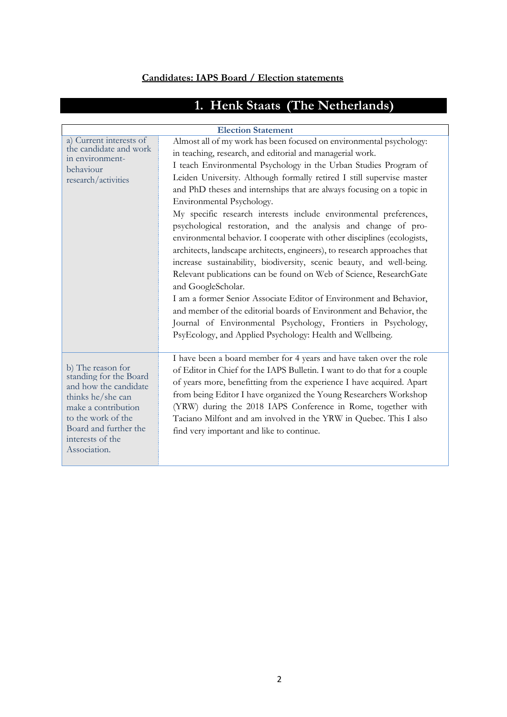# **Candidates: IAPS Board / Election statements**

| <b>Election Statement</b>                                                                                                                                                                           |                                                                                                                                                                                                                                                                                                                                                                                                                                                                                                                                                                                                                                                                                                                                                                                                                                                                                                                                                                                                                                                                                                                                    |  |
|-----------------------------------------------------------------------------------------------------------------------------------------------------------------------------------------------------|------------------------------------------------------------------------------------------------------------------------------------------------------------------------------------------------------------------------------------------------------------------------------------------------------------------------------------------------------------------------------------------------------------------------------------------------------------------------------------------------------------------------------------------------------------------------------------------------------------------------------------------------------------------------------------------------------------------------------------------------------------------------------------------------------------------------------------------------------------------------------------------------------------------------------------------------------------------------------------------------------------------------------------------------------------------------------------------------------------------------------------|--|
| a) Current interests of<br>the candidate and work<br>in environment-<br>behaviour<br>research/activities                                                                                            | Almost all of my work has been focused on environmental psychology:<br>in teaching, research, and editorial and managerial work.<br>I teach Environmental Psychology in the Urban Studies Program of<br>Leiden University. Although formally retired I still supervise master<br>and PhD theses and internships that are always focusing on a topic in<br>Environmental Psychology.<br>My specific research interests include environmental preferences,<br>psychological restoration, and the analysis and change of pro-<br>environmental behavior. I cooperate with other disciplines (ecologists,<br>architects, landscape architects, engineers), to research approaches that<br>increase sustainability, biodiversity, scenic beauty, and well-being.<br>Relevant publications can be found on Web of Science, ResearchGate<br>and GoogleScholar.<br>I am a former Senior Associate Editor of Environment and Behavior,<br>and member of the editorial boards of Environment and Behavior, the<br>Journal of Environmental Psychology, Frontiers in Psychology,<br>PsyEcology, and Applied Psychology: Health and Wellbeing. |  |
| b) The reason for<br>standing for the Board<br>and how the candidate<br>thinks he/she can<br>make a contribution<br>to the work of the<br>Board and further the<br>interests of the<br>Association. | I have been a board member for 4 years and have taken over the role<br>of Editor in Chief for the IAPS Bulletin. I want to do that for a couple<br>of years more, benefitting from the experience I have acquired. Apart<br>from being Editor I have organized the Young Researchers Workshop<br>(YRW) during the 2018 IAPS Conference in Rome, together with<br>Taciano Milfont and am involved in the YRW in Quebec. This I also<br>find very important and like to continue.                                                                                                                                                                                                                                                                                                                                                                                                                                                                                                                                                                                                                                                    |  |

# **1. Henk Staats (The Netherlands)**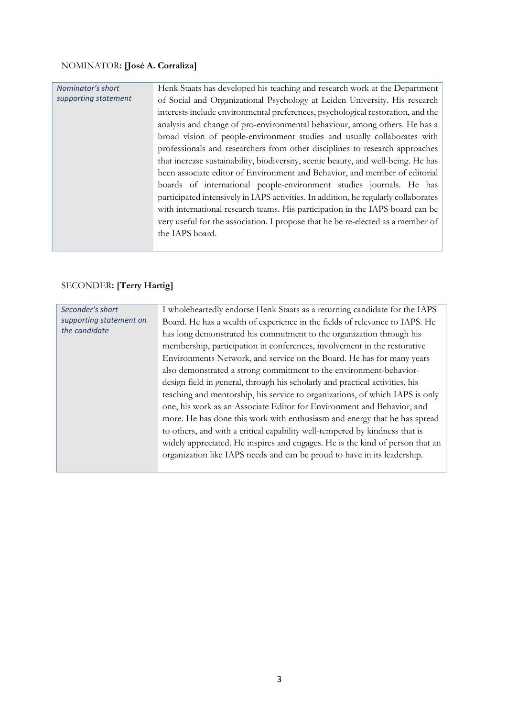#### NOMINATOR**: [José A. Corraliza]**

#### *Nominator's short supporting statement*

Henk Staats has developed his teaching and research work at the Department of Social and Organizational Psychology at Leiden University. His research interests include environmental preferences, psychological restoration, and the analysis and change of pro-environmental behaviour, among others. He has a broad vision of people-environment studies and usually collaborates with professionals and researchers from other disciplines to research approaches that increase sustainability, biodiversity, scenic beauty, and well-being. He has been associate editor of Environment and Behavior, and member of editorial boards of international people-environment studies journals. He has participated intensively in IAPS activities. In addition, he regularly collaborates with international research teams. His participation in the IAPS board can be very useful for the association. I propose that he be re-elected as a member of the IAPS board.

#### SECONDER**: [Terry Hartig]**

| Seconder's short<br>supporting statement on<br>the candidate | I wholeheartedly endorse Henk Staats as a returning candidate for the IAPS    |
|--------------------------------------------------------------|-------------------------------------------------------------------------------|
|                                                              | Board. He has a wealth of experience in the fields of relevance to IAPS. He   |
|                                                              | has long demonstrated his commitment to the organization through his          |
|                                                              | membership, participation in conferences, involvement in the restorative      |
|                                                              | Environments Network, and service on the Board. He has for many years         |
|                                                              | also demonstrated a strong commitment to the environment-behavior-            |
|                                                              | design field in general, through his scholarly and practical activities, his  |
|                                                              | teaching and mentorship, his service to organizations, of which IAPS is only  |
|                                                              | one, his work as an Associate Editor for Environment and Behavior, and        |
|                                                              | more. He has done this work with enthusiasm and energy that he has spread     |
|                                                              | to others, and with a critical capability well-tempered by kindness that is   |
|                                                              | widely appreciated. He inspires and engages. He is the kind of person that an |
|                                                              | organization like IAPS needs and can be proud to have in its leadership.      |
|                                                              |                                                                               |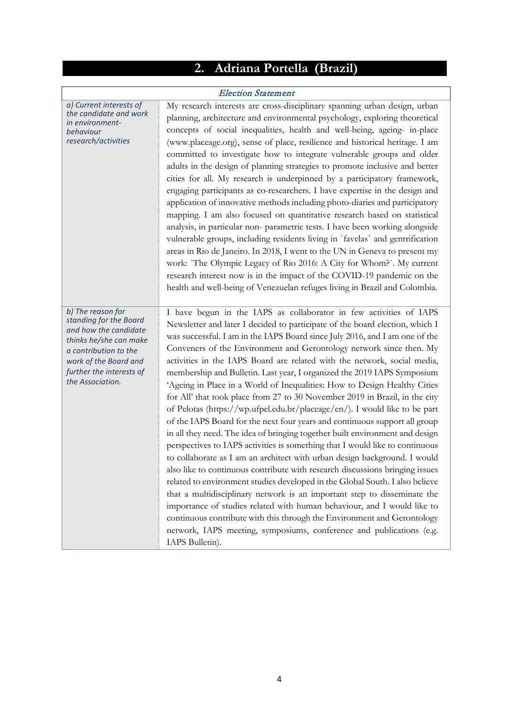### **2. Adriana Portella (Brazil)**

#### Election Statement

*a) Current interests of the candidate and work in environmentbehaviour research/activities*

My research interests are cross-disciplinary spanning urban design, urban planning, architecture and environmental psychology, exploring theoretical concepts of social inequalities, health and well-being, ageing- in-place [\(www.placeage.org\)](http://www.placeage.org/), sense of place, resilience and historical heritage. I am committed to investigate how to integrate vulnerable groups and older adults in the design of planning strategies to promote inclusive and better cities for all. My research is underpinned by a participatory framework, engaging participants as co-researchers. I have expertise in the design and application of innovative methods including photo-diaries and participatory mapping. I am also focused on quantitative research based on statistical analysis, in particular non- parametric tests. I have been working alongside vulnerable groups, including residents living in `favelas` and gentrification areas in Rio de Janeiro. In 2018, I went to the UN in Geneva to present my work: `The Olympic Legacy of Rio 2016: A City for Whom?`. My current research interest now is in the impact of the COVID-19 pandemic on the health and well-being of Venezuelan refuges living in Brazil and Colombia.

*b) The reason for standing for the Board and how the candidate thinks he/she can make a contribution to the work of the Board and further the interests of the Association.*

I have begun in the IAPS as collaborator in few activities of IAPS Newsletter and later I decided to participate of the board election, which I was successful. I am in the IAPS Board since July 2016, and I am one of the Conveners of the Environment and Gerontology network since then. My activities in the IAPS Board are related with the network, social media, membership and Bulletin. Last year, I organized the 2019 IAPS Symposium 'Ageing in Place in a World of Inequalities: How to Design Healthy Cities for All' that took place from 27 to 30 November 2019 in Brazil, in the city of Pelotas [\(https://wp.ufpel.edu.br/placeage/en/\)](https://wp.ufpel.edu.br/placeage/en/). I would like to be part of the IAPS Board for the next four years and continuous support all group in all they need. The idea of bringing together built environment and design perspectives to IAPS activities is something that I would like to continuous to collaborate as I am an architect with urban design background. I would also like to continuous contribute with research discussions bringing issues related to environment studies developed in the Global South. I also believe that a multidisciplinary network is an important step to disseminate the importance of studies related with human behaviour, and I would like to continuous contribute with this through the Environment and Gerontology network, IAPS meeting, symposiums, conference and publications (e.g. IAPS Bulletin).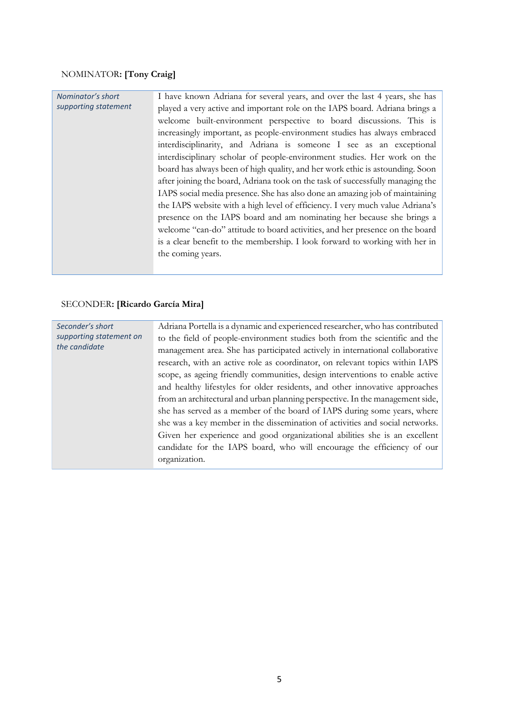#### NOMINATOR**: [Tony Craig]**

#### I have known Adriana for several years, and over the last 4 years, she has played a very active and important role on the IAPS board. Adriana brings a welcome built-environment perspective to board discussions. This is increasingly important, as people-environment studies has always embraced interdisciplinarity, and Adriana is someone I see as an exceptional interdisciplinary scholar of people-environment studies. Her work on the board has always been of high quality, and her work ethic is astounding. Soon after joining the board, Adriana took on the task of successfully managing the IAPS social media presence. She has also done an amazing job of maintaining the IAPS website with a high level of efficiency. I very much value Adriana's presence on the IAPS board and am nominating her because she brings a welcome "can-do" attitude to board activities, and her presence on the board is a clear benefit to the membership. I look forward to working with her in the coming years. *Nominator's short supporting statement*

#### SECONDER**: [Ricardo García Mira]**

| Seconder's short                         | Adriana Portella is a dynamic and experienced researcher, who has contributed |
|------------------------------------------|-------------------------------------------------------------------------------|
| supporting statement on<br>the candidate | to the field of people-environment studies both from the scientific and the   |
|                                          | management area. She has participated actively in international collaborative |
|                                          | research, with an active role as coordinator, on relevant topics within IAPS  |
|                                          | scope, as ageing friendly communities, design interventions to enable active  |
|                                          | and healthy lifestyles for older residents, and other innovative approaches   |
|                                          | from an architectural and urban planning perspective. In the management side, |
|                                          | she has served as a member of the board of IAPS during some years, where      |
|                                          | she was a key member in the dissemination of activities and social networks.  |
|                                          | Given her experience and good organizational abilities she is an excellent    |
|                                          | candidate for the IAPS board, who will encourage the efficiency of our        |
|                                          | organization.                                                                 |
|                                          |                                                                               |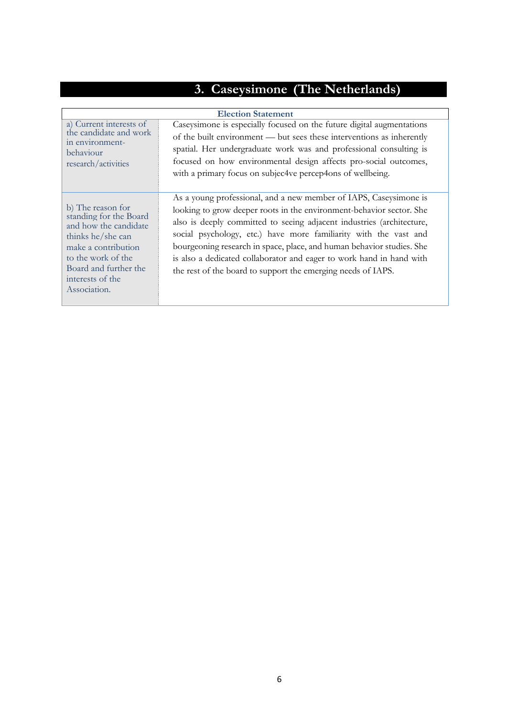# **3. Caseysimone (The Netherlands)**

| <b>Election Statement</b>                                                                                                                                                                           |                                                                                                                                                                                                                                                                                                                                                                                                                                                                                                         |
|-----------------------------------------------------------------------------------------------------------------------------------------------------------------------------------------------------|---------------------------------------------------------------------------------------------------------------------------------------------------------------------------------------------------------------------------------------------------------------------------------------------------------------------------------------------------------------------------------------------------------------------------------------------------------------------------------------------------------|
| a) Current interests of<br>the candidate and work<br>in environment-<br>behaviour<br>research/activities                                                                                            | Caseysimone is especially focused on the future digital augmentations<br>of the built environment — but sees these interventions as inherently<br>spatial. Her undergraduate work was and professional consulting is<br>focused on how environmental design affects pro-social outcomes,<br>with a primary focus on subjec4ve percep4ons of wellbeing.                                                                                                                                                  |
| b) The reason for<br>standing for the Board<br>and how the candidate<br>thinks he/she can<br>make a contribution<br>to the work of the<br>Board and further the<br>interests of the<br>Association. | As a young professional, and a new member of IAPS, Caseysimone is<br>looking to grow deeper roots in the environment-behavior sector. She<br>also is deeply committed to seeing adjacent industries (architecture,<br>social psychology, etc.) have more familiarity with the vast and<br>bourgeoning research in space, place, and human behavior studies. She<br>is also a dedicated collaborator and eager to work hand in hand with<br>the rest of the board to support the emerging needs of IAPS. |